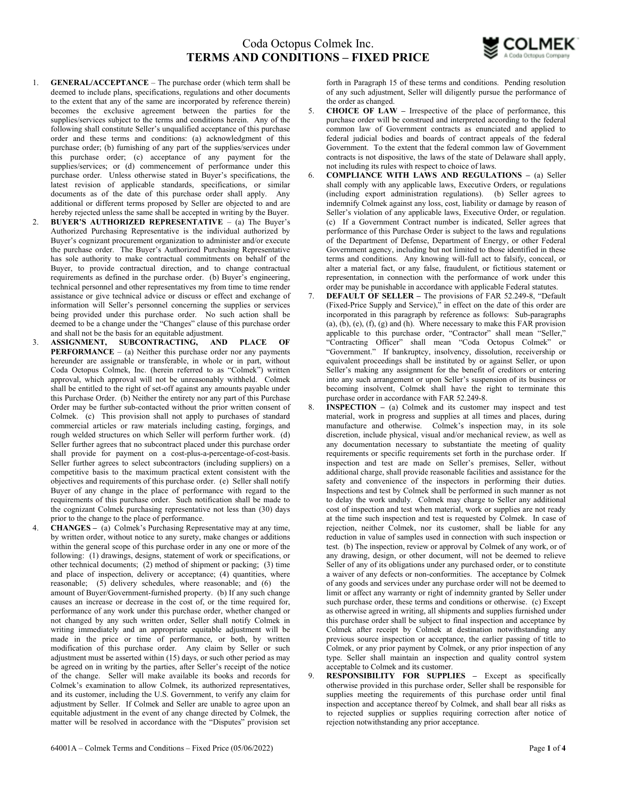

- 1. GENERAL/ACCEPTANCE The purchase order (which term shall be deemed to include plans, specifications, regulations and other documents to the extent that any of the same are incorporated by reference therein) becomes the exclusive agreement between the parties for the supplies/services subject to the terms and conditions herein. Any of the following shall constitute Seller's unqualified acceptance of this purchase order and these terms and conditions: (a) acknowledgment of this purchase order; (b) furnishing of any part of the supplies/services under this purchase order; (c) acceptance of any payment for the supplies/services; or (d) commencement of performance under this purchase order. Unless otherwise stated in Buyer's specifications, the latest revision of applicable standards, specifications, or similar documents as of the date of this purchase order shall apply. Any additional or different terms proposed by Seller are objected to and are hereby rejected unless the same shall be accepted in writing by the Buyer.
- 2. BUYER'S AUTHORIZED REPRESENTATIVE (a) The Buyer's Authorized Purchasing Representative is the individual authorized by Buyer's cognizant procurement organization to administer and/or execute the purchase order. The Buyer's Authorized Purchasing Representative has sole authority to make contractual commitments on behalf of the Buyer, to provide contractual direction, and to change contractual requirements as defined in the purchase order. (b) Buyer's engineering, technical personnel and other representatives my from time to time render assistance or give technical advice or discuss or effect and exchange of information will Seller's personnel concerning the supplies or services being provided under this purchase order. No such action shall be deemed to be a change under the "Changes" clause of this purchase order and shall not be the basis for an equitable adjustment.
- 3. ASSIGNMENT, SUBCONTRACTING, AND PLACE OF **PERFORMANCE** – (a) Neither this purchase order nor any payments hereunder are assignable or transferable, in whole or in part, without Coda Octopus Colmek, Inc. (herein referred to as "Colmek") written approval, which approval will not be unreasonably withheld. Colmek shall be entitled to the right of set-off against any amounts payable under this Purchase Order. (b) Neither the entirety nor any part of this Purchase Order may be further sub-contacted without the prior written consent of Colmek. (c) This provision shall not apply to purchases of standard commercial articles or raw materials including casting, forgings, and rough welded structures on which Seller will perform further work. (d) Seller further agrees that no subcontract placed under this purchase order shall provide for payment on a cost-plus-a-percentage-of-cost-basis. Seller further agrees to select subcontractors (including suppliers) on a competitive basis to the maximum practical extent consistent with the objectives and requirements of this purchase order. (e) Seller shall notify Buyer of any change in the place of performance with regard to the requirements of this purchase order. Such notification shall be made to the cognizant Colmek purchasing representative not less than (30) days prior to the change to the place of performance.
- 4. CHANGES (a) Colmek's Purchasing Representative may at any time, by written order, without notice to any surety, make changes or additions within the general scope of this purchase order in any one or more of the following: (1) drawings, designs, statement of work or specifications, or other technical documents; (2) method of shipment or packing; (3) time and place of inspection, delivery or acceptance; (4) quantities, where reasonable; (5) delivery schedules, where reasonable; and (6) the amount of Buyer/Government-furnished property. (b) If any such change causes an increase or decrease in the cost of, or the time required for, performance of any work under this purchase order, whether changed or not changed by any such written order, Seller shall notify Colmek in writing immediately and an appropriate equitable adjustment will be made in the price or time of performance, or both, by written modification of this purchase order. Any claim by Seller or such adjustment must be asserted within (15) days, or such other period as may be agreed on in writing by the parties, after Seller's receipt of the notice of the change. Seller will make available its books and records for Colmek's examination to allow Colmek, its authorized representatives, and its customer, including the U.S. Government, to verify any claim for adjustment by Seller. If Colmek and Seller are unable to agree upon an equitable adjustment in the event of any change directed by Colmek, the matter will be resolved in accordance with the "Disputes" provision set

forth in Paragraph 15 of these terms and conditions. Pending resolution of any such adjustment, Seller will diligently pursue the performance of the order as changed.

- 5. CHOICE OF LAW Irrespective of the place of performance, this purchase order will be construed and interpreted according to the federal common law of Government contracts as enunciated and applied to federal judicial bodies and boards of contract appeals of the federal Government. To the extent that the federal common law of Government contracts is not dispositive, the laws of the state of Delaware shall apply, not including its rules with respect to choice of laws.
- 6. COMPLIANCE WITH LAWS AND REGULATIONS (a) Seller shall comply with any applicable laws, Executive Orders, or regulations (including export administration regulations). (b) Seller agrees to indemnify Colmek against any loss, cost, liability or damage by reason of Seller's violation of any applicable laws, Executive Order, or regulation. (c) If a Government Contract number is indicated, Seller agrees that performance of this Purchase Order is subject to the laws and regulations of the Department of Defense, Department of Energy, or other Federal Government agency, including but not limited to those identified in these terms and conditions. Any knowing will-full act to falsify, conceal, or alter a material fact, or any false, fraudulent, or fictitious statement or representation, in connection with the performance of work under this order may be punishable in accordance with applicable Federal statutes.
- 7. DEFAULT OF SELLER The provisions of FAR 52.249-8, "Default (Fixed-Price Supply and Service)," in effect on the date of this order are incorporated in this paragraph by reference as follows: Sub-paragraphs  $(a)$ ,  $(b)$ ,  $(e)$ ,  $(f)$ ,  $(g)$  and  $(h)$ . Where necessary to make this FAR provision applicable to this purchase order, "Contractor" shall mean "Seller," "Contracting Officer" shall mean "Coda Octopus Colmek" or "Government." If bankruptcy, insolvency, dissolution, receivership or equivalent proceedings shall be instituted by or against Seller, or upon Seller's making any assignment for the benefit of creditors or entering into any such arrangement or upon Seller's suspension of its business or becoming insolvent, Colmek shall have the right to terminate this purchase order in accordance with FAR 52.249-8.
- 8. INSPECTION (a) Colmek and its customer may inspect and test material, work in progress and supplies at all times and places, during manufacture and otherwise. Colmek's inspection may, in its sole discretion, include physical, visual and/or mechanical review, as well as any documentation necessary to substantiate the meeting of quality requirements or specific requirements set forth in the purchase order. If inspection and test are made on Seller's premises, Seller, without additional charge, shall provide reasonable facilities and assistance for the safety and convenience of the inspectors in performing their duties. Inspections and test by Colmek shall be performed in such manner as not to delay the work unduly. Colmek may charge to Seller any additional cost of inspection and test when material, work or supplies are not ready at the time such inspection and test is requested by Colmek. In case of rejection, neither Colmek, nor its customer, shall be liable for any reduction in value of samples used in connection with such inspection or test. (b) The inspection, review or approval by Colmek of any work, or of any drawing, design, or other document, will not be deemed to relieve Seller of any of its obligations under any purchased order, or to constitute a waiver of any defects or non-conformities. The acceptance by Colmek of any goods and services under any purchase order will not be deemed to limit or affect any warranty or right of indemnity granted by Seller under such purchase order, these terms and conditions or otherwise. (c) Except as otherwise agreed in writing, all shipments and supplies furnished under this purchase order shall be subject to final inspection and acceptance by Colmek after receipt by Colmek at destination notwithstanding any previous source inspection or acceptance, the earlier passing of title to Colmek, or any prior payment by Colmek, or any prior inspection of any type. Seller shall maintain an inspection and quality control system acceptable to Colmek and its customer.
- 9. RESPONSIBILITY FOR SUPPLIES Except as specifically otherwise provided in this purchase order, Seller shall be responsible for supplies meeting the requirements of this purchase order until final inspection and acceptance thereof by Colmek, and shall bear all risks as to rejected supplies or supplies requiring correction after notice of rejection notwithstanding any prior acceptance.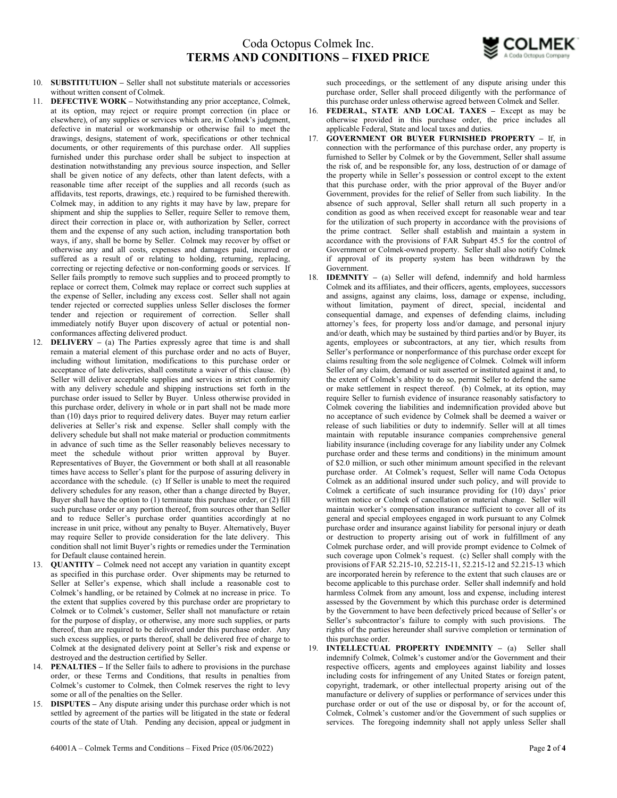

- 10. SUBSTITUTUION Seller shall not substitute materials or accessories without written consent of Colmek.
- 11. DEFECTIVE WORK Notwithstanding any prior acceptance, Colmek, at its option, may reject or require prompt correction (in place or elsewhere), of any supplies or services which are, in Colmek's judgment, defective in material or workmanship or otherwise fail to meet the drawings, designs, statement of work, specifications or other technical documents, or other requirements of this purchase order. All supplies furnished under this purchase order shall be subject to inspection at destination notwithstanding any previous source inspection, and Seller shall be given notice of any defects, other than latent defects, with a reasonable time after receipt of the supplies and all records (such as affidavits, test reports, drawings, etc.) required to be furnished therewith. Colmek may, in addition to any rights it may have by law, prepare for shipment and ship the supplies to Seller, require Seller to remove them, direct their correction in place or, with authorization by Seller, correct them and the expense of any such action, including transportation both ways, if any, shall be borne by Seller. Colmek may recover by offset or otherwise any and all costs, expenses and damages paid, incurred or suffered as a result of or relating to holding, returning, replacing, correcting or rejecting defective or non-conforming goods or services. If Seller fails promptly to remove such supplies and to proceed promptly to replace or correct them, Colmek may replace or correct such supplies at the expense of Seller, including any excess cost. Seller shall not again tender rejected or corrected supplies unless Seller discloses the former tender and rejection or requirement of correction. Seller shall immediately notify Buyer upon discovery of actual or potential nonconformances affecting delivered product.
- 12. DELIVERY (a) The Parties expressly agree that time is and shall remain a material element of this purchase order and no acts of Buyer, including without limitation, modifications to this purchase order or acceptance of late deliveries, shall constitute a waiver of this clause. (b) Seller will deliver acceptable supplies and services in strict conformity with any delivery schedule and shipping instructions set forth in the purchase order issued to Seller by Buyer. Unless otherwise provided in this purchase order, delivery in whole or in part shall not be made more than (10) days prior to required delivery dates. Buyer may return earlier deliveries at Seller's risk and expense. Seller shall comply with the delivery schedule but shall not make material or production commitments in advance of such time as the Seller reasonably believes necessary to meet the schedule without prior written approval by Buyer. Representatives of Buyer, the Government or both shall at all reasonable times have access to Seller's plant for the purpose of assuring delivery in accordance with the schedule. (c) If Seller is unable to meet the required delivery schedules for any reason, other than a change directed by Buyer, Buyer shall have the option to (1) terminate this purchase order, or (2) fill such purchase order or any portion thereof, from sources other than Seller and to reduce Seller's purchase order quantities accordingly at no increase in unit price, without any penalty to Buyer. Alternatively, Buyer may require Seller to provide consideration for the late delivery. This condition shall not limit Buyer's rights or remedies under the Termination for Default clause contained herein.
- 13. QUANTITY Colmek need not accept any variation in quantity except as specified in this purchase order. Over shipments may be returned to Seller at Seller's expense, which shall include a reasonable cost to Colmek's handling, or be retained by Colmek at no increase in price. To the extent that supplies covered by this purchase order are proprietary to Colmek or to Colmek's customer, Seller shall not manufacture or retain for the purpose of display, or otherwise, any more such supplies, or parts thereof, than are required to be delivered under this purchase order. Any such excess supplies, or parts thereof, shall be delivered free of charge to Colmek at the designated delivery point at Seller's risk and expense or destroyed and the destruction certified by Seller.
- 14. PENALTIES If the Seller fails to adhere to provisions in the purchase order, or these Terms and Conditions, that results in penalties from Colmek's customer to Colmek, then Colmek reserves the right to levy some or all of the penalties on the Seller.
- 15. DISPUTES Any dispute arising under this purchase order which is not settled by agreement of the parties will be litigated in the state or federal courts of the state of Utah. Pending any decision, appeal or judgment in

such proceedings, or the settlement of any dispute arising under this purchase order, Seller shall proceed diligently with the performance of this purchase order unless otherwise agreed between Colmek and Seller.

- 16. FEDERAL, STATE AND LOCAL TAXES Except as may be otherwise provided in this purchase order, the price includes all applicable Federal, State and local taxes and duties.
- 17. GOVERNMENT OR BUYER FURNISHED PROPERTY If, in connection with the performance of this purchase order, any property is furnished to Seller by Colmek or by the Government, Seller shall assume the risk of, and be responsible for, any loss, destruction of or damage of the property while in Seller's possession or control except to the extent that this purchase order, with the prior approval of the Buyer and/or Government, provides for the relief of Seller from such liability. In the absence of such approval, Seller shall return all such property in a condition as good as when received except for reasonable wear and tear for the utilization of such property in accordance with the provisions of the prime contract. Seller shall establish and maintain a system in accordance with the provisions of FAR Subpart 45.5 for the control of Government or Colmek-owned property. Seller shall also notify Colmek if approval of its property system has been withdrawn by the Government.
- 18. IDEMNITY (a) Seller will defend, indemnify and hold harmless Colmek and its affiliates, and their officers, agents, employees, successors and assigns, against any claims, loss, damage or expense, including, without limitation, payment of direct, special, incidental and consequential damage, and expenses of defending claims, including attorney's fees, for property loss and/or damage, and personal injury and/or death, which may be sustained by third parties and/or by Buyer, its agents, employees or subcontractors, at any tier, which results from Seller's performance or nonperformance of this purchase order except for claims resulting from the sole negligence of Colmek. Colmek will inform Seller of any claim, demand or suit asserted or instituted against it and, to the extent of Colmek's ability to do so, permit Seller to defend the same or make settlement in respect thereof. (b) Colmek, at its option, may require Seller to furnish evidence of insurance reasonably satisfactory to Colmek covering the liabilities and indemnification provided above but no acceptance of such evidence by Colmek shall be deemed a waiver or release of such liabilities or duty to indemnify. Seller will at all times maintain with reputable insurance companies comprehensive general liability insurance (including coverage for any liability under any Colmek purchase order and these terms and conditions) in the minimum amount of \$2.0 million, or such other minimum amount specified in the relevant purchase order. At Colmek's request, Seller will name Coda Octopus Colmek as an additional insured under such policy, and will provide to Colmek a certificate of such insurance providing for (10) days' prior written notice or Colmek of cancellation or material change. Seller will maintain worker's compensation insurance sufficient to cover all of its general and special employees engaged in work pursuant to any Colmek purchase order and insurance against liability for personal injury or death or destruction to property arising out of work in fulfillment of any Colmek purchase order, and will provide prompt evidence to Colmek of such coverage upon Colmek's request. (c) Seller shall comply with the provisions of FAR 52.215-10, 52.215-11, 52.215-12 and 52.215-13 which are incorporated herein by reference to the extent that such clauses are or become applicable to this purchase order. Seller shall indemnify and hold harmless Colmek from any amount, loss and expense, including interest assessed by the Government by which this purchase order is determined by the Government to have been defectively priced because of Seller's or Seller's subcontractor's failure to comply with such provisions. The rights of the parties hereunder shall survive completion or termination of this purchase order.
- 19. INTELLECTUAL PROPERTY INDEMNITY (a) Seller shall indemnify Colmek, Colmek's customer and/or the Government and their respective officers, agents and employees against liability and losses including costs for infringement of any United States or foreign patent, copyright, trademark, or other intellectual property arising out of the manufacture or delivery of supplies or performance of services under this purchase order or out of the use or disposal by, or for the account of, Colmek, Colmek's customer and/or the Government of such supplies or services. The foregoing indemnity shall not apply unless Seller shall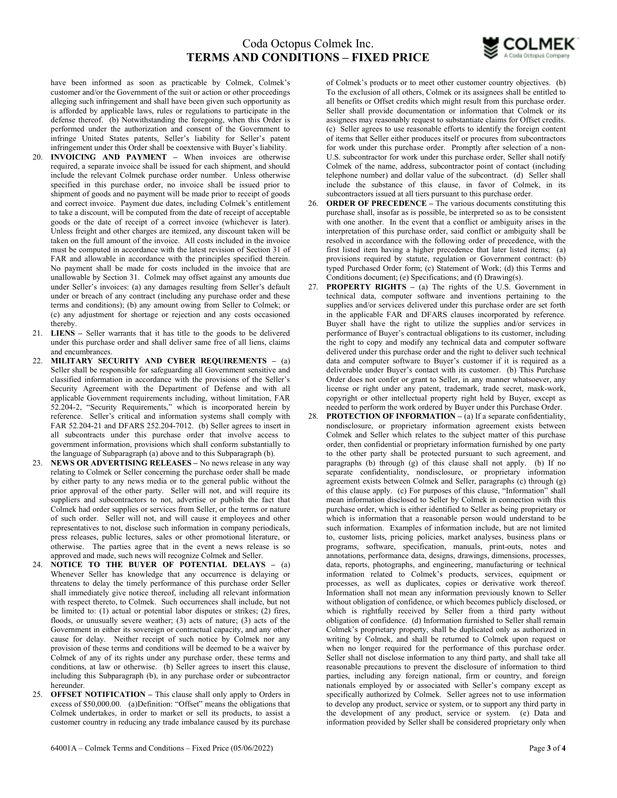

have been informed as soon as practicable by Colmek, Colmek's customer and/or the Government of the suit or action or other proceedings alleging such infringement and shall have been given such opportunity as is afforded by applicable laws, rules or regulations to participate in the defense thereof. (b) Notwithstanding the foregoing, when this Order is performed under the authorization and consent of the Government to infringe United States patents, Seller's liability for Seller's patent infringement under this Order shall be coextensive with Buyer's liability.

- INVOICING AND PAYMENT When invoices are otherwise required, a separate invoice shall be issued for each shipment, and should include the relevant Colmek purchase order number. Unless otherwise specified in this purchase order, no invoice shall be issued prior to shipment of goods and no payment will be made prior to receipt of goods and correct invoice. Payment due dates, including Colmek's entitlement to take a discount, will be computed from the date of receipt of acceptable goods or the date of receipt of a correct invoice (whichever is later). Unless freight and other charges are itemized, any discount taken will be taken on the full amount of the invoice. All costs included in the invoice must be computed in accordance with the latest revision of Section 31 of FAR and allowable in accordance with the principles specified therein. No payment shall be made for costs included in the invoice that are unallowable by Section 31. Colmek may offset against any amounts due under Seller's invoices: (a) any damages resulting from Seller's default under or breach of any contract (including any purchase order and these terms and conditions); (b) any amount owing from Seller to Colmek; or (c) any adjustment for shortage or rejection and any costs occasioned thereby.
- 21. LIENS Seller warrants that it has title to the goods to be delivered under this purchase order and shall deliver same free of all liens, claims and encumbrances.
- 22. MILITARY SECURITY AND CYBER REQUIREMENTS (a) Seller shall be responsible for safeguarding all Government sensitive and classified information in accordance with the provisions of the Seller's Security Agreement with the Department of Defense and with all applicable Government requirements including, without limitation, FAR 52.204-2, "Security Requirements," which is incorporated herein by reference. Seller's critical and information systems shall comply with FAR 52.204-21 and DFARS 252.204-7012. (b) Seller agrees to insert in all subcontracts under this purchase order that involve access to government information, provisions which shall conform substantially to the language of Subparagraph (a) above and to this Subparagraph (b).
- 23. NEWS OR ADVERTISING RELEASES No news release in any way relating to Colmek or Seller concerning the purchase order shall be made by either party to any news media or to the general public without the prior approval of the other party. Seller will not, and will require its suppliers and subcontractors to not, advertise or publish the fact that Colmek had order supplies or services from Seller, or the terms or nature of such order. Seller will not, and will cause it employees and other representatives to not, disclose such information in company periodicals, press releases, public lectures, sales or other promotional literature, or otherwise. The parties agree that in the event a news release is so approved and made, such news will recognize Colmek and Seller.
- 24. NOTICE TO THE BUYER OF POTENTIAL DELAYS (a) Whenever Seller has knowledge that any occurrence is delaying or threatens to delay the timely performance of this purchase order Seller shall immediately give notice thereof, including all relevant information with respect thereto, to Colmek. Such occurrences shall include, but not be limited to: (1) actual or potential labor disputes or strikes; (2) fires, floods, or unusually severe weather; (3) acts of nature; (3) acts of the Government in either its sovereign or contractual capacity, and any other cause for delay. Neither receipt of such notice by Colmek nor any provision of these terms and conditions will be deemed to be a waiver by Colmek of any of its rights under any purchase order, these terms and conditions, at law or otherwise. (b) Seller agrees to insert this clause, including this Subparagraph (b), in any purchase order or subcontractor hereunder.
- 25. **OFFSET NOTIFICATION** This clause shall only apply to Orders in excess of \$50,000.00. (a)Definition: "Offset" means the obligations that Colmek undertakes, in order to market or sell its products, to assist a customer country in reducing any trade imbalance caused by its purchase

of Colmek's products or to meet other customer country objectives. (b) To the exclusion of all others, Colmek or its assignees shall be entitled to all benefits or Offset credits which might result from this purchase order. Seller shall provide documentation or information that Colmek or its assignees may reasonably request to substantiate claims for Offset credits. (c) Seller agrees to use reasonable efforts to identify the foreign content of items that Seller either produces itself or procures from subcontractors for work under this purchase order. Promptly after selection of a non-U.S. subcontractor for work under this purchase order, Seller shall notify Colmek of the name, address, subcontractor point of contact (including telephone number) and dollar value of the subcontract. (d) Seller shall include the substance of this clause, in favor of Colmek, in its subcontractors issued at all tiers pursuant to this purchase order.

- 26. ORDER OF PRECEDENCE The various documents constituting this purchase shall, insofar as is possible, be interpreted so as to be consistent with one another. In the event that a conflict or ambiguity arises in the interpretation of this purchase order, said conflict or ambiguity shall be resolved in accordance with the following order of precedence, with the first listed item having a higher precedence that later listed items; (a) provisions required by statute, regulation or Government contract: (b) typed Purchased Order form; (c) Statement of Work; (d) this Terms and Conditions document; (e) Specifications; and (f) Drawing(s).
- 27. PROPERTY RIGHTS (a) The rights of the U.S. Government in technical data, computer software and inventions pertaining to the supplies and/or services delivered under this purchase order are set forth in the applicable FAR and DFARS clauses incorporated by reference. Buyer shall have the right to utilize the supplies and/or services in performance of Buyer's contractual obligations to its customer, including the right to copy and modify any technical data and computer software delivered under this purchase order and the right to deliver such technical data and computer software to Buyer's customer if it is required as a deliverable under Buyer's contact with its customer. (b) This Purchase Order does not confer or grant to Seller, in any manner whatsoever, any license or right under any patent, trademark, trade secret, mask-work, copyright or other intellectual property right held by Buyer, except as needed to perform the work ordered by Buyer under this Purchase Order.
- 28. PROTECTION OF INFORMATION (a) If a separate confidentiality, nondisclosure, or proprietary information agreement exists between Colmek and Seller which relates to the subject matter of this purchase order, then confidential or proprietary information furnished by one party to the other party shall be protected pursuant to such agreement, and paragraphs (b) through (g) of this clause shall not apply. (b) If no separate confidentiality, nondisclosure, or proprietary information agreement exists between Colmek and Seller, paragraphs (c) through (g) of this clause apply. (c) For purposes of this clause, "Information" shall mean information disclosed to Seller by Colmek in connection with this purchase order, which is either identified to Seller as being proprietary or which is information that a reasonable person would understand to be such information. Examples of information include, but are not limited to, customer lists, pricing policies, market analyses, business plans or programs, software, specification, manuals, print-outs, notes and annotations, performance data, designs, drawings, dimensions, processes, data, reports, photographs, and engineering, manufacturing or technical information related to Colmek's products, services, equipment or processes, as well as duplicates, copies or derivative work thereof. Information shall not mean any information previously known to Seller without obligation of confidence, or which becomes publicly disclosed, or which is rightfully received by Seller from a third party without obligation of confidence. (d) Information furnished to Seller shall remain Colmek's proprietary property, shall be duplicated only as authorized in writing by Colmek, and shall be returned to Colmek upon request or when no longer required for the performance of this purchase order. Seller shall not disclose information to any third party, and shall take all reasonable precautions to prevent the disclosure of information to third parties, including any foreign national, firm or country, and foreign nationals employed by or associated with Seller's company except as specifically authorized by Colmek. Seller agrees not to use information to develop any product, service or system, or to support any third party in the development of any product, service or system. (e) Data and information provided by Seller shall be considered proprietary only when